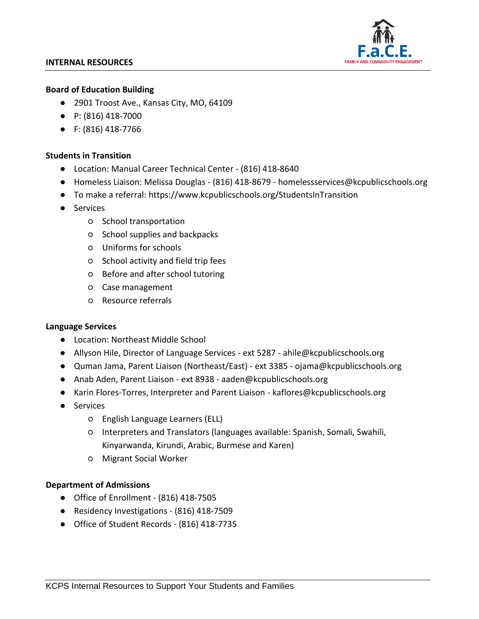#### **INTERNAL RESOURCES**



#### **Board of Education Building**

- 2901 Troost Ave., Kansas City, MO, 64109
- P: (816) 418-7000
- F: (816) 418-7766

## **Students in Transition**

- Location: Manual Career Technical Center (816) 418-8640
- Homeless Liaison: Melissa Douglas (816) 418-8679 homelessservices@kcpublicschools.org
- To make a referral:<https://www.kcpublicschools.org/StudentsInTransition>
- Services
	- School transportation
	- School supplies and backpacks
	- Uniforms for schools
	- School activity and field trip fees
	- Before and after school tutoring
	- Case management
	- Resource referrals

### **Language Services**

- Location: Northeast Middle School
- Allyson Hile, Director of Language Services ext 5287 [ahile@kcpublicschools.org](mailto:ahile@kcpublicschools.org)
- Quman Jama, Parent Liaison (Northeast/East) ext 3385 [ojama@kcpublicschools.org](mailto:ojama@kcpublicschools.org)
- Anab Aden, Parent Liaison ext 8938 [aaden@kcpublicschools.org](mailto:aaden@kcpublicschools.org)
- Karin Flores-Torres, Interpreter and Parent Liaison [kaflores@kcpublicschools.org](mailto:kaflores@kcpublicschools.org)
- Services
	- English Language Learners (ELL)
	- Interpreters and Translators (languages available: Spanish, Somali, Swahili, Kinyarwanda, Kirundi, Arabic, Burmese and Karen)
	- Migrant Social Worker

### **Department of Admissions**

- Office of Enrollment (816) 418-7505
- Residency Investigations (816) 418-7509
- Office of Student Records (816) 418-7735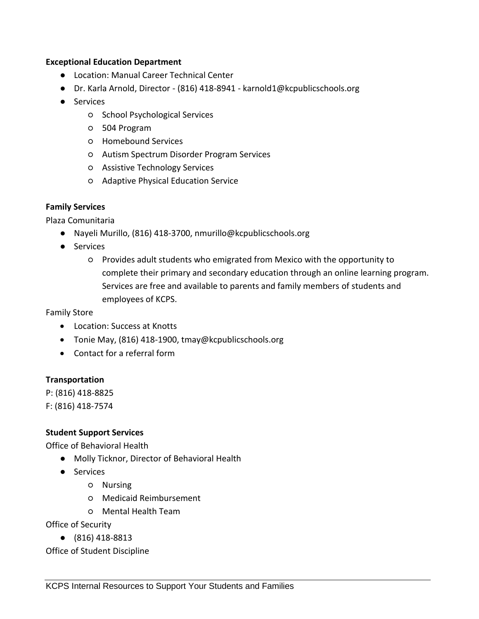### **Exceptional Education Department**

- Location: Manual Career Technical Center
- Dr. Karla Arnold, Director (816) 418-8941 [karnold1@kcpublicschools.org](mailto:karnold1@kcpublicschools.org)
- Services
	- School Psychological Services
	- 504 Program
	- Homebound Services
	- Autism Spectrum Disorder Program Services
	- Assistive Technology Services
	- Adaptive Physical Education Service

### **Family Services**

Plaza Comunitaria

- Nayeli Murillo, (816) 418-3700, nmurillo@kcpublicschools.org
- Services
	- Provides adult students who emigrated from Mexico with the opportunity to complete their primary and secondary education through an online learning program. Services are free and available to parents and family members of students and employees of KCPS.

Family Store

- Location: Success at Knotts
- Tonie May, (816) 418-1900, tmay@kcpublicschools.org
- Contact for a referral form

### **Transportation**

P: (816) 418-8825 F: (816) 418-7574

### **Student Support Services**

Office of Behavioral Health

- Molly Ticknor, Director of Behavioral Health
- Services
	- Nursing
	- Medicaid Reimbursement
	- Mental Health Team

Office of Security

● (816) 418-8813

Office of Student Discipline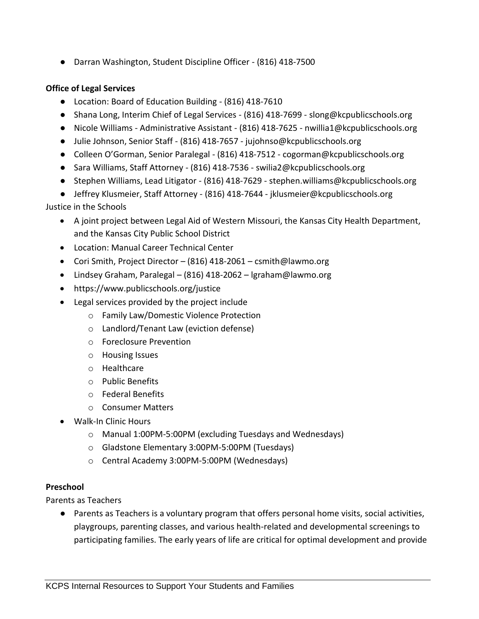● Darran Washington, Student Discipline Officer - (816) 418-7500

## **Office of Legal Services**

- Location: Board of Education Building (816) 418-7610
- Shana Long, Interim Chief of Legal Services (816) 418-7699 [slong@kcpublicschools.org](mailto:slong@kcpublicschools.org)
- Nicole Williams Administrative Assistant (816) 418-7625 [nwillia1@kcpublicschools.org](mailto:nwillia1@kcpublicschools.org)
- Julie Johnson, Senior Staff (816) 418-7657 [jujohnso@kcpublicschools.org](mailto:jujohnso@kcpublicschools.org)
- Colleen O'Gorman, Senior Paralegal (816) 418-7512 [cogorman@kcpublicschools.org](mailto:cogorman@kcpublicschools.org)
- Sara Williams, Staff Attorney (816) 418-7536 [swilia2@kcpublicschools.org](mailto:swilia2@kcpublicschools.org)
- Stephen Williams, Lead Litigator (816) 418-7629 [stephen.williams@kcpublicschools.org](mailto:stephen.williams@kcpublicschools.org)
- Jeffrey Klusmeier, Staff Attorney (816) 418-7644 [jklusmeier@kcpublicschools.org](mailto:jklusmeier@kcpublicschools.org)

# Justice in the Schools

- A joint project between Legal Aid of Western Missouri, the Kansas City Health Department, and the Kansas City Public School District
- Location: Manual Career Technical Center
- Cori Smith, Project Director (816) 418-2061 csmith@lawmo.org
- Lindsey Graham, Paralegal (816) 418-2062 lgraham@lawmo.org
- https://www.publicschools.org/justice
- Legal services provided by the project include
	- o Family Law/Domestic Violence Protection
	- o Landlord/Tenant Law (eviction defense)
	- o Foreclosure Prevention
	- o Housing Issues
	- o Healthcare
	- o Public Benefits
	- o Federal Benefits
	- o Consumer Matters
- Walk-In Clinic Hours
	- o Manual 1:00PM-5:00PM (excluding Tuesdays and Wednesdays)
	- o Gladstone Elementary 3:00PM-5:00PM (Tuesdays)
	- o Central Academy 3:00PM-5:00PM (Wednesdays)

# **Preschool**

Parents as Teachers

● Parents as Teachers is a voluntary program that offers personal home visits, social activities, playgroups, parenting classes, and various health-related and developmental screenings to participating families. The early years of life are critical for optimal development and provide